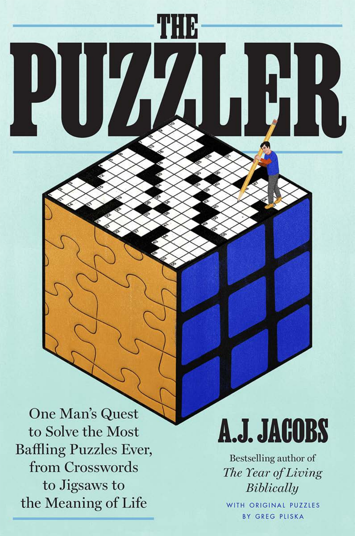

**One Man's Quest** to Solve the Most **Baffling Puzzles Ever,** from Crosswords to Jigsaws to the Meaning of Life

## A.J. JAGOBS

Bestselling author of The Year of Living Biblically WITH ORIGINAL PUZZLES

BY GREG PLISKA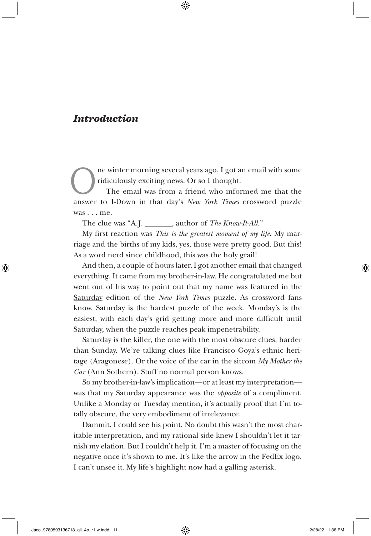## *Introduction*

ne winter morning several years ago, I got an email with some ridiculously exciting news. Or so I thought. The email was from a friend who informed me that the

answer to 1-Down in that day's *New York Times* crossword puzzle was . . . me.

The clue was "A.J. \_\_\_\_\_\_\_, author of *The Know-It-All.*"

My first reaction was *This is the greatest moment of my life*. My marriage and the births of my kids, yes, those were pretty good. But this! As a word nerd since childhood, this was the holy grail!

And then, a couple of hours later, I got another email that changed everything. It came from my brother-in-law. He congratulated me but went out of his way to point out that my name was featured in the Saturday edition of the *New York Times* puzzle. As crossword fans know, Saturday is the hardest puzzle of the week. Monday's is the easiest, with each day's grid getting more and more difficult until Saturday, when the puzzle reaches peak impenetrability.

Saturday is the killer, the one with the most obscure clues, harder than Sunday. We're talking clues like Francisco Goya's ethnic heritage (Aragonese). Or the voice of the car in the sitcom *My Mother the Car* (Ann Sothern). Stuff no normal person knows.

So my brother-in-law's implication—or at least my interpretation was that my Saturday appearance was the *opposite* of a compliment. Unlike a Monday or Tuesday mention, it's actually proof that I'm totally obscure, the very embodiment of irrelevance.

Dammit. I could see his point. No doubt this wasn't the most charitable interpretation, and my rational side knew I shouldn't let it tarnish my elation. But I couldn't help it. I'm a master of focusing on the negative once it's shown to me. It's like the arrow in the FedEx logo. I can't unsee it. My life's highlight now had a galling asterisk.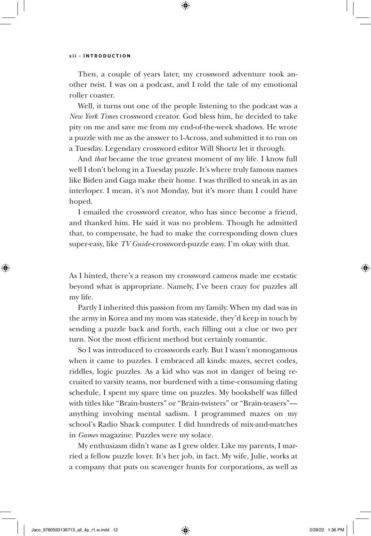Then, a couple of years later, my crossword adventure took another twist. I was on a podcast, and I told the tale of my emotional roller coaster.

Well, it turns out one of the people listening to the podcast was a *New York Times* crossword creator. God bless him, he decided to take pity on me and save me from my end-of-the-week shadows. He wrote a puzzle with me as the answer to 1-Across, and submitted it to run on a Tuesday. Legendary crossword editor Will Shortz let it through.

And *that* became the true greatest moment of my life. I know full well I don't belong in a Tuesday puzzle. It's where truly famous names like Biden and Gaga make their home. I was thrilled to sneak in as an interloper. I mean, it's not Monday, but it's more than I could have hoped.

I emailed the crossword creator, who has since become a friend, and thanked him. He said it was no problem. Though he admitted that, to compensate, he had to make the corresponding down clues super-easy, like *TV Guide*-crossword-puzzle easy. I'm okay with that.

As I hinted, there's a reason my crossword cameos made me ecstatic beyond what is appropriate. Namely, I've been crazy for puzzles all my life.

Partly I inherited this passion from my family. When my dad was in the army in Korea and my mom was stateside, they'd keep in touch by sending a puzzle back and forth, each filling out a clue or two per turn. Not the most efficient method but certainly romantic.

So I was introduced to crosswords early. But I wasn't monogamous when it came to puzzles. I embraced all kinds: mazes, secret codes, riddles, logic puzzles. As a kid who was not in danger of being recruited to varsity teams, nor burdened with a time-consuming dating schedule, I spent my spare time on puzzles. My bookshelf was filled with titles like "Brain-busters" or "Brain-twisters" or "Brain-teasers" anything involving mental sadism. I programmed mazes on my school's Radio Shack computer. I did hundreds of mix-and-matches in *Games* magazine. Puzzles were my solace.

My enthusiasm didn't wane as I grew older. Like my parents, I married a fellow puzzle lover. It's her job, in fact. My wife, Julie, works at a company that puts on scavenger hunts for corporations, as well as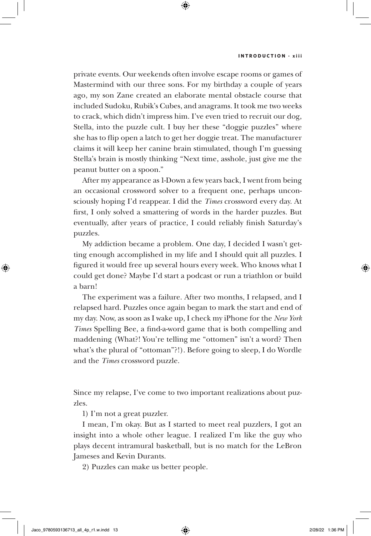private events. Our weekends often involve escape rooms or games of Mastermind with our three sons. For my birthday a couple of years ago, my son Zane created an elaborate mental obstacle course that included Sudoku, Rubik's Cubes, and anagrams. It took me two weeks to crack, which didn't impress him. I've even tried to recruit our dog, Stella, into the puzzle cult. I buy her these "doggie puzzles" where she has to flip open a latch to get her doggie treat. The manufacturer claims it will keep her canine brain stimulated, though I'm guessing Stella's brain is mostly thinking "Next time, asshole, just give me the peanut butter on a spoon."

After my appearance as 1-Down a few years back, I went from being an occasional crossword solver to a frequent one, perhaps unconsciously hoping I'd reappear. I did the *Times* crossword every day. At first, I only solved a smattering of words in the harder puzzles. But eventually, after years of practice, I could reliably finish Saturday's puzzles.

My addiction became a problem. One day, I decided I wasn't getting enough accomplished in my life and I should quit all puzzles. I figured it would free up several hours every week. Who knows what I could get done? Maybe I'd start a podcast or run a triathlon or build a barn!

The experiment was a failure. After two months, I relapsed, and I relapsed hard. Puzzles once again began to mark the start and end of my day. Now, as soon as I wake up, I check my iPhone for the *New York Times* Spelling Bee, a find-a-word game that is both compelling and maddening (What?! You're telling me "ottomen" isn't a word? Then what's the plural of "ottoman"?!). Before going to sleep, I do Wordle and the *Times* crossword puzzle.

Since my relapse, I've come to two important realizations about puzzles.

1) I'm not a great puzzler.

I mean, I'm okay. But as I started to meet real puzzlers, I got an insight into a whole other league. I realized I'm like the guy who plays decent intramural basketball, but is no match for the LeBron Jameses and Kevin Durants.

2) Puzzles can make us better people.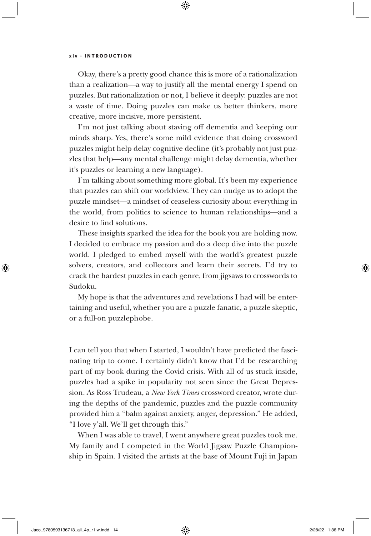Okay, there's a pretty good chance this is more of a rationalization than a realization—a way to justify all the mental energy I spend on puzzles. But rationalization or not, I believe it deeply: puzzles are not a waste of time. Doing puzzles can make us better thinkers, more creative, more incisive, more persistent.

I'm not just talking about staving off dementia and keeping our minds sharp. Yes, there's some mild evidence that doing crossword puzzles might help delay cognitive decline (it's probably not just puzzles that help—any mental challenge might delay dementia, whether it's puzzles or learning a new language).

I'm talking about something more global. It's been my experience that puzzles can shift our worldview. They can nudge us to adopt the puzzle mindset—a mindset of ceaseless curiosity about everything in the world, from politics to science to human relationships—and a desire to find solutions.

These insights sparked the idea for the book you are holding now. I decided to embrace my passion and do a deep dive into the puzzle world. I pledged to embed myself with the world's greatest puzzle solvers, creators, and collectors and learn their secrets. I'd try to crack the hardest puzzles in each genre, from jigsaws to crosswords to Sudoku.

My hope is that the adventures and revelations I had will be entertaining and useful, whether you are a puzzle fanatic, a puzzle skeptic, or a full-on puzzlephobe.

I can tell you that when I started, I wouldn't have predicted the fascinating trip to come. I certainly didn't know that I'd be researching part of my book during the Covid crisis. With all of us stuck inside, puzzles had a spike in popularity not seen since the Great Depression. As Ross Trudeau, a *New York Times* crossword creator, wrote during the depths of the pandemic, puzzles and the puzzle community provided him a "balm against anxiety, anger, depression." He added, "I love y'all. We'll get through this."

When I was able to travel, I went anywhere great puzzles took me. My family and I competed in the World Jigsaw Puzzle Championship in Spain. I visited the artists at the base of Mount Fuji in Japan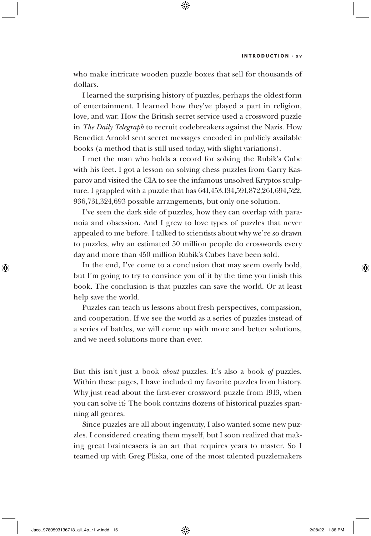who make intricate wooden puzzle boxes that sell for thousands of dollars.

I learned the surprising history of puzzles, perhaps the oldest form of entertainment. I learned how they've played a part in religion, love, and war. How the British secret service used a crossword puzzle in *The Daily Telegraph* to recruit codebreakers against the Nazis. How Benedict Arnold sent secret messages encoded in publicly available books (a method that is still used today, with slight variations).

I met the man who holds a record for solving the Rubik's Cube with his feet. I got a lesson on solving chess puzzles from Garry Kasparov and visited the CIA to see the infamous unsolved Kryptos sculpture. I grappled with a puzzle that has 641,453,134,591,872,261,694,522, 936,731,324,693 possible arrangements, but only one solution.

I've seen the dark side of puzzles, how they can overlap with paranoia and obsession. And I grew to love types of puzzles that never appealed to me before. I talked to scientists about why we're so drawn to puzzles, why an estimated 50 million people do crosswords every day and more than 450 million Rubik's Cubes have been sold.

In the end, I've come to a conclusion that may seem overly bold, but I'm going to try to convince you of it by the time you finish this book. The conclusion is that puzzles can save the world. Or at least help save the world.

Puzzles can teach us lessons about fresh perspectives, compassion, and cooperation. If we see the world as a series of puzzles instead of a series of battles, we will come up with more and better solutions, and we need solutions more than ever.

But this isn't just a book *about* puzzles. It's also a book *of* puzzles. Within these pages, I have included my favorite puzzles from history. Why just read about the first-ever crossword puzzle from 1913, when you can solve it? The book contains dozens of historical puzzles spanning all genres.

Since puzzles are all about ingenuity, I also wanted some new puzzles. I considered creating them myself, but I soon realized that making great brainteasers is an art that requires years to master. So I teamed up with Greg Pliska, one of the most talented puzzlemakers